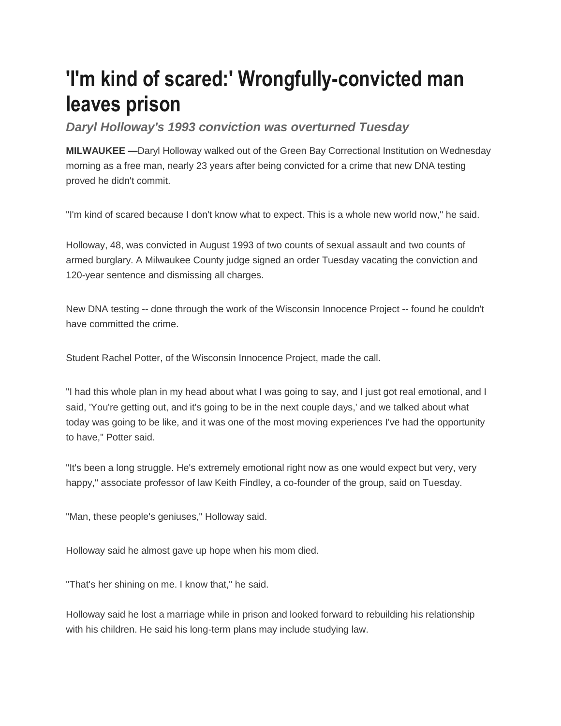## **'I'm kind of scared:' Wrongfully-convicted man leaves prison**

*Daryl Holloway's 1993 conviction was overturned Tuesday*

**MILWAUKEE —**Daryl Holloway walked out of the Green Bay Correctional Institution on Wednesday morning as a free man, nearly 23 years after being convicted for a crime that new DNA testing proved he didn't commit.

"I'm kind of scared because I don't know what to expect. This is a whole new world now," he said.

Holloway, 48, was convicted in August 1993 of two counts of sexual assault and two counts of armed burglary. A Milwaukee County judge signed an order Tuesday vacating the conviction and 120-year sentence and dismissing all charges.

New DNA testing -- done through the work of the Wisconsin Innocence Project -- found he couldn't have committed the crime.

Student Rachel Potter, of the Wisconsin Innocence Project, made the call.

"I had this whole plan in my head about what I was going to say, and I just got real emotional, and I said, 'You're getting out, and it's going to be in the next couple days,' and we talked about what today was going to be like, and it was one of the most moving experiences I've had the opportunity to have," Potter said.

"It's been a long struggle. He's extremely emotional right now as one would expect but very, very happy," associate professor of law Keith Findley, a co-founder of the group, said on Tuesday.

"Man, these people's geniuses," Holloway said.

Holloway said he almost gave up hope when his mom died.

"That's her shining on me. I know that," he said.

Holloway said he lost a marriage while in prison and looked forward to rebuilding his relationship with his children. He said his long-term plans may include studying law.